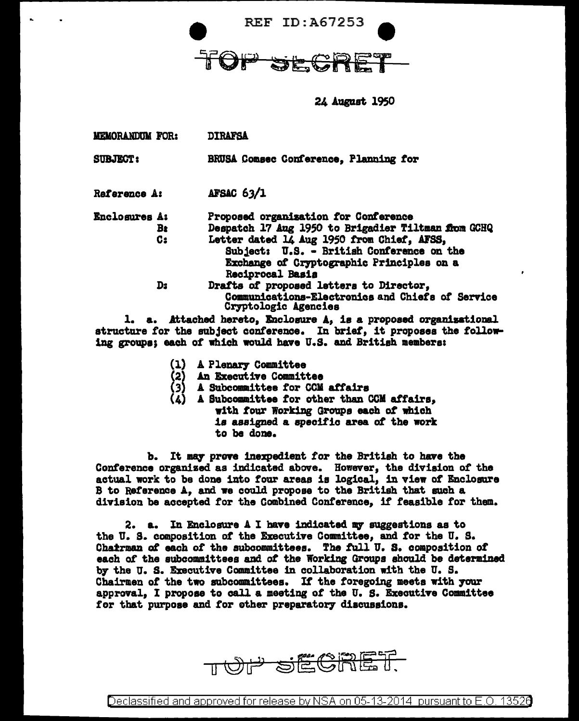

24 August 1950

| <b>MEMORANDUM FOR:</b> | <b>DIRAFSA</b> |
|------------------------|----------------|
|                        |                |

BRUSA Comsec Conference. Planning for **SUBJECT:** 

**AFSAC 63/1** Reference A:

- **Enclosures A:** Proposed organization for Conference Despatch 17 Aug 1950 to Brigadier Tiltman from GCHQ **B**<sub>t</sub>  $C:$ Letter dated 14 Aug 1950 from Chief, AFSS, Subject: U.S. - British Conference on the Exchange of Cryptographic Principles on a Reciprocal Basis  $D<sub>2</sub>$ Drafts of proposed letters to Director,
	- Communications-Electronics and Chiefs of Service Cryptologic Agencies

1. a. Attached hereto, Enclosure A, is a proposed organizational structure for the subject conference. In brief, it proposes the following groups; each of which would have U.S. and British members:

- A Plenary Committee
- 
- (2) An Executive Committee<br>(3) A Subcommittee for CCM affairs
- A Subcommittee for other than CCM affairs, with four Working Groups each of which is assigned a specific area of the work to be done.

b. It may prove inexpedient for the British to have the Conference organized as indicated above. However, the division of the actual work to be done into four areas is logical, in view of Enclosure B to Reference A, and we could propose to the British that such a division be accepted for the Combined Conference. if feasible for them.

2. a. In Enclosure A I have indicated my suggestions as to the U.S. composition of the Executive Committee, and for the U.S. Charrman of each of the subcommittees. The full U.S. composition of each of the subcommittees and of the Working Groups should be determined by the U.S. Executive Committee in collaboration with the U.S. Chairmen of the two subcommittees. If the foregoing meets with your approval, I propose to call a meeting of the U.S. Executive Committee for that purpose and for other preparatory discussions.

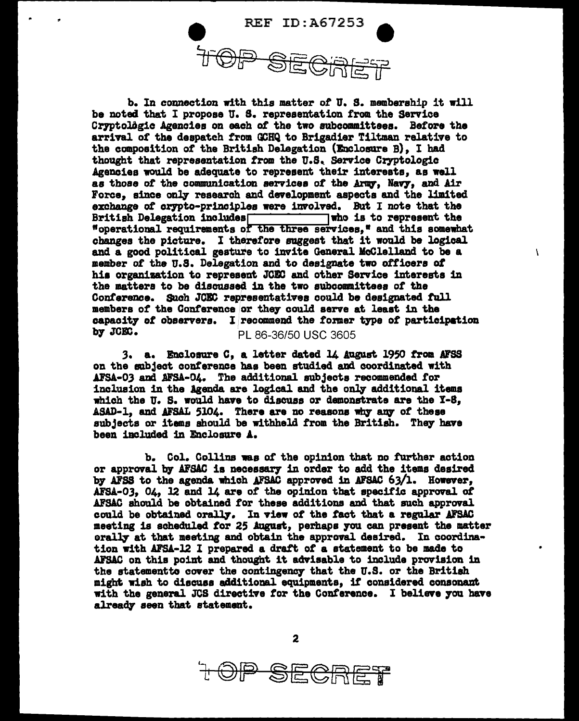

b. In connection with this matter of U.S. membership it will be noted that I propose U.S. representation from the Service Cryptolôgic Agencies on each of the two subcommittees. Before the arrival of the despatch from GCHQ to Brigadier Tiltman relative to the composition of the British Delegation (Enclosure B), I had thought that representation from the U.S. Service Cryptologic Agencies would be adequate to represent their interests, as well as those of the communication services of the Army, Navy, and Air Force, since only research and development aspects and the limited exchange of crypto-principles were involved. But I note that the British Delegation includes  $\Box$  who is to represent the "operational requirements of the three services," and this somewhat changes the picture. I therefore suggest that it would be logical and a good political gesture to invite General McClelland to be a member of the U.S. Delegation and to designate two officers of his organization to represent JCEC and other Service interests in the matters to be discussed in the two subcommittees of the Conference. Such JCEC representatives could be designated full members of the Conference or they could serve at least in the capacity of observers. I recommend the former type of participation by JCEC. PL 86-36/50 USC 3605

 $\lambda$ 

3. a. Enclosure C, a letter dated 14 August 1950 from AFSS on the subject conference has been studied and coordinated with AFSA-03 and AFSA-04. The additional subjects recommended for inclusion in the Agenda are logical and the only additional items which the U.S. would have to discuss or demonstrate are the Y-8, ASAD-1, and AFSAL 5104. There are no reasons why any of these subjects or items should be withheld from the British. They have been included in Enclosure A.

b. Col. Collins was of the opinion that no further action or approval by AFSAC is necessary in order to add the items desired by AFSS to the agenda which AFSAC approved in AFSAC 63/1. However, AFSA-03, 04, 12 and 14 are of the opinion that specific approval of AFSAC should be obtained for these additions and that such approval could be obtained orally. In view of the fact that a regular AFSAC meeting is scheduled for 25 August, perhaps you can present the matter orally at that meeting and obtain the approval desired. In coordination with AFSA-12 I prepared a draft of a statement to be made to AFSAC on this point and thought it advisable to include provision in the statementto cover the contingency that the U.S. or the British might wish to discuss additional equipments, if considered consonant with the general JCS directive for the Conference. I believe you have already seen that statement.

 $\boldsymbol{2}$